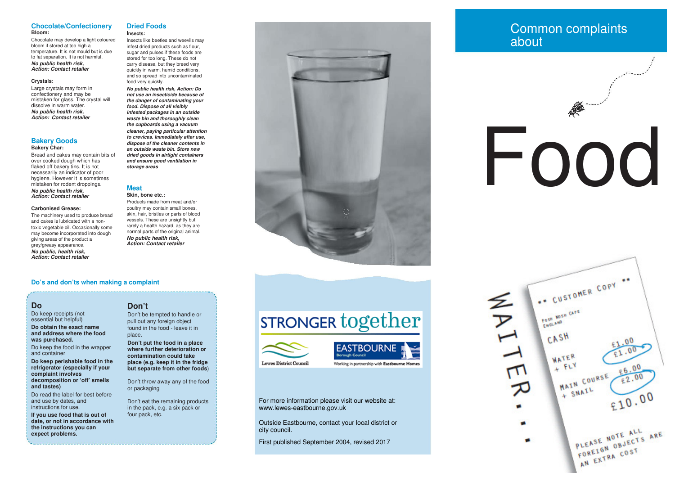### **Chocolate/ConfectioneryBloom:**

 Chocolate may develop a light coloured bloom if stored at too high a temperature. It is not mould but is due to fat separation. It is not harmful.

### *No public health risk, Action: Contact retailer*

### **Crystals:**

 Large crystals may form in confectionery and may be mistaken for glass. The crystal will dissolve in warm water. *No public health risk, Action: Contact retailer*

### **Bakery GoodsBakery Char:**

 Bread and cakes may contain bits of over cooked dough which has flaked off bakery tins. It is not necessarily an indicator of poor hygiene. However it is sometimes mistaken for rodent droppings.*No public health risk, Action: Contact retailer*

### **Carbonised Grease:**

The machinery used to produce bread and cakes is lubricated with a nontoxic vegetable oil. Occasionally some may become incorporated into dough giving areas of the product a grey/greasy appearance.

 *No public, health risk, Action: Contact retailer*

### **Dried FoodsInsects:**

 Insects like beetles and weevils may infest dried products such as flour, sugar and pulses if these foods are stored for too long. These do not carry disease, but they breed very quickly in warm, humid conditions, and so spread into uncontaminated food very quickly.

 *No public health risk, Action: Do not use an insecticide because of the danger of contaminating your food. Dispose of all visibly infested packages in an outside waste bin and thoroughly clean the cupboards using a vacuum cleaner, paying particular attention to crevices. Immediately after use, dispose of the cleaner contents in an outside waste bin. Store new dried goods in airtight containers and ensure good ventilation in storage areas*

### **Meat**

### **Skin, bone etc.:**

 Products made from meat and/or poultry may contain small bones, skin, hair, bristles or parts of blood vessels. These are unsightly but rarely a health hazard, as they are normal parts of the original animal.*No public health risk, Action: Contact retailer*

### **Do's and don'ts when making a complaint**

### **Do**

 Do keep receipts (not essential but helpful)**Do obtain the exact name** 

 **and address where the food was purchased.**

Do keep the food in the wrapper and container

 **Do keep perishable food in the refrigerator (especially if your complaint involves decomposition or 'off' smells and tastes)**

Do read the label for best before and use by dates, and instructions for use.

**If you use food that is out of date, or not in accordance with the instructions you can expect problems.**

### **Don't**

 Don't be tempted to handle or pull out any foreign object found in the food - leave it in place.

**Don't put the food in a place where further deterioration or contamination could take place (e.g. keep it in the fridge but separate from other foods**)

Don't throw away any of the food or packaging

Don't eat the remaining products in the pack, e.g. a six pack or four pack, etc.



# **STRONGER together**





**Lewes District Council** 



For more information please visit our website at: www.lewes-eastbourne.gov.uk

Outside Eastbourne, contact your local district or city council.

First published September 2004, revised 2017

## Common complaints about

# Food